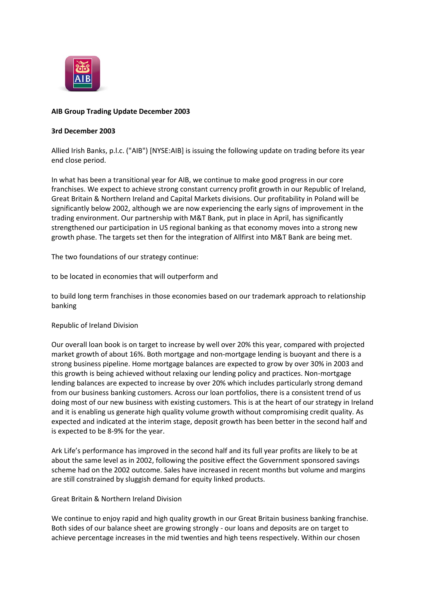

# **AIB Group Trading Update December 2003**

#### **3rd December 2003**

Allied Irish Banks, p.l.c. ("AIB") [NYSE:AIB] is issuing the following update on trading before its year end close period.

In what has been a transitional year for AIB, we continue to make good progress in our core franchises. We expect to achieve strong constant currency profit growth in our Republic of Ireland, Great Britain & Northern Ireland and Capital Markets divisions. Our profitability in Poland will be significantly below 2002, although we are now experiencing the early signs of improvement in the trading environment. Our partnership with M&T Bank, put in place in April, has significantly strengthened our participation in US regional banking as that economy moves into a strong new growth phase. The targets set then for the integration of Allfirst into M&T Bank are being met.

The two foundations of our strategy continue:

to be located in economies that will outperform and

to build long term franchises in those economies based on our trademark approach to relationship banking

Republic of Ireland Division

Our overall loan book is on target to increase by well over 20% this year, compared with projected market growth of about 16%. Both mortgage and non-mortgage lending is buoyant and there is a strong business pipeline. Home mortgage balances are expected to grow by over 30% in 2003 and this growth is being achieved without relaxing our lending policy and practices. Non-mortgage lending balances are expected to increase by over 20% which includes particularly strong demand from our business banking customers. Across our loan portfolios, there is a consistent trend of us doing most of our new business with existing customers. This is at the heart of our strategy in Ireland and it is enabling us generate high quality volume growth without compromising credit quality. As expected and indicated at the interim stage, deposit growth has been better in the second half and is expected to be 8-9% for the year.

Ark Life's performance has improved in the second half and its full year profits are likely to be at about the same level as in 2002, following the positive effect the Government sponsored savings scheme had on the 2002 outcome. Sales have increased in recent months but volume and margins are still constrained by sluggish demand for equity linked products.

Great Britain & Northern Ireland Division

We continue to enjoy rapid and high quality growth in our Great Britain business banking franchise. Both sides of our balance sheet are growing strongly - our loans and deposits are on target to achieve percentage increases in the mid twenties and high teens respectively. Within our chosen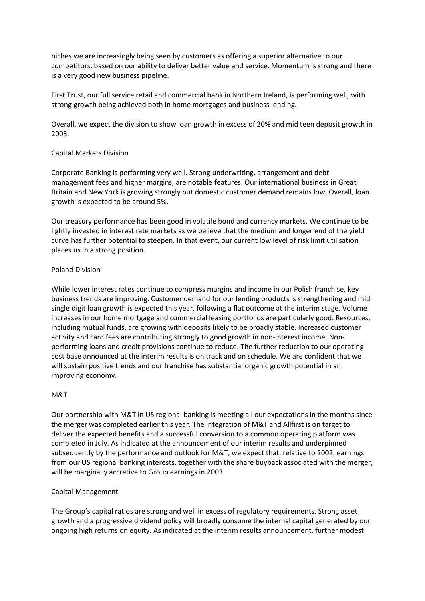niches we are increasingly being seen by customers as offering a superior alternative to our competitors, based on our ability to deliver better value and service. Momentum is strong and there is a very good new business pipeline.

First Trust, our full service retail and commercial bank in Northern Ireland, is performing well, with strong growth being achieved both in home mortgages and business lending.

Overall, we expect the division to show loan growth in excess of 20% and mid teen deposit growth in 2003.

#### Capital Markets Division

Corporate Banking is performing very well. Strong underwriting, arrangement and debt management fees and higher margins, are notable features. Our international business in Great Britain and New York is growing strongly but domestic customer demand remains low. Overall, loan growth is expected to be around 5%.

Our treasury performance has been good in volatile bond and currency markets. We continue to be lightly invested in interest rate markets as we believe that the medium and longer end of the yield curve has further potential to steepen. In that event, our current low level of risk limit utilisation places us in a strong position.

#### Poland Division

While lower interest rates continue to compress margins and income in our Polish franchise, key business trends are improving. Customer demand for our lending products is strengthening and mid single digit loan growth is expected this year, following a flat outcome at the interim stage. Volume increases in our home mortgage and commercial leasing portfolios are particularly good. Resources, including mutual funds, are growing with deposits likely to be broadly stable. Increased customer activity and card fees are contributing strongly to good growth in non-interest income. Nonperforming loans and credit provisions continue to reduce. The further reduction to our operating cost base announced at the interim results is on track and on schedule. We are confident that we will sustain positive trends and our franchise has substantial organic growth potential in an improving economy.

# M&T

Our partnership with M&T in US regional banking is meeting all our expectations in the months since the merger was completed earlier this year. The integration of M&T and Allfirst is on target to deliver the expected benefits and a successful conversion to a common operating platform was completed in July. As indicated at the announcement of our interim results and underpinned subsequently by the performance and outlook for M&T, we expect that, relative to 2002, earnings from our US regional banking interests, together with the share buyback associated with the merger, will be marginally accretive to Group earnings in 2003.

# Capital Management

The Group's capital ratios are strong and well in excess of regulatory requirements. Strong asset growth and a progressive dividend policy will broadly consume the internal capital generated by our ongoing high returns on equity. As indicated at the interim results announcement, further modest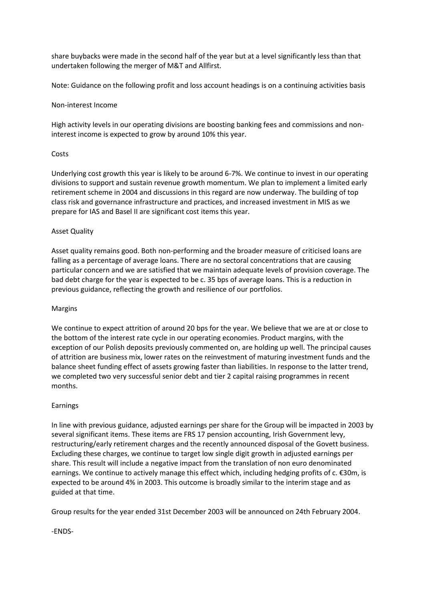share buybacks were made in the second half of the year but at a level significantly less than that undertaken following the merger of M&T and Allfirst.

Note: Guidance on the following profit and loss account headings is on a continuing activities basis

# Non-interest Income

High activity levels in our operating divisions are boosting banking fees and commissions and noninterest income is expected to grow by around 10% this year.

#### **Costs**

Underlying cost growth this year is likely to be around 6-7%. We continue to invest in our operating divisions to support and sustain revenue growth momentum. We plan to implement a limited early retirement scheme in 2004 and discussions in this regard are now underway. The building of top class risk and governance infrastructure and practices, and increased investment in MIS as we prepare for IAS and Basel II are significant cost items this year.

# Asset Quality

Asset quality remains good. Both non-performing and the broader measure of criticised loans are falling as a percentage of average loans. There are no sectoral concentrations that are causing particular concern and we are satisfied that we maintain adequate levels of provision coverage. The bad debt charge for the year is expected to be c. 35 bps of average loans. This is a reduction in previous guidance, reflecting the growth and resilience of our portfolios.

#### Margins

We continue to expect attrition of around 20 bps for the year. We believe that we are at or close to the bottom of the interest rate cycle in our operating economies. Product margins, with the exception of our Polish deposits previously commented on, are holding up well. The principal causes of attrition are business mix, lower rates on the reinvestment of maturing investment funds and the balance sheet funding effect of assets growing faster than liabilities. In response to the latter trend, we completed two very successful senior debt and tier 2 capital raising programmes in recent months.

# Earnings

In line with previous guidance, adjusted earnings per share for the Group will be impacted in 2003 by several significant items. These items are FRS 17 pension accounting, Irish Government levy, restructuring/early retirement charges and the recently announced disposal of the Govett business. Excluding these charges, we continue to target low single digit growth in adjusted earnings per share. This result will include a negative impact from the translation of non euro denominated earnings. We continue to actively manage this effect which, including hedging profits of c. €30m, is expected to be around 4% in 2003. This outcome is broadly similar to the interim stage and as guided at that time.

Group results for the year ended 31st December 2003 will be announced on 24th February 2004.

-ENDS-